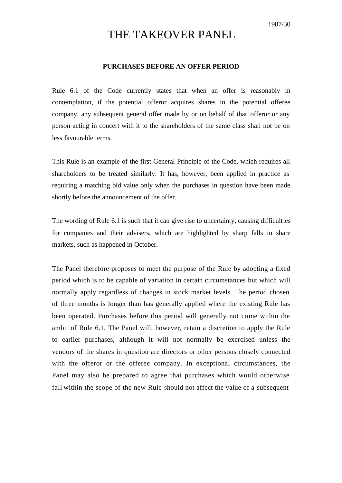# THE TAKEOVER PANEL

### **PURCHASES BEFORE AN OFFER PERIOD**

Rule 6.1 of the Code currently states that when an offer is reasonably in contemplation, if the potential offeror acquires shares in the potential offeree company, any subsequent general offer made by or on behalf of that offeror or any person acting in concert with it to the shareholders of the same class shall not be on less favourable terms.

This Rule is an example of the first General Principle of the Code, which requires all shareholders to be treated similarly. It has, however, been applied in practice as requiring a matching bid value only when the purchases in question have been made shortly before the announcement of the offer.

The wording of Rule 6.1 is such that it can give rise to uncertainty, causing difficulties for companies and their advisers, which are highlighted by sharp falls in share markets, such as happened in October.

The Panel therefore proposes to meet the purpose of the Rule by adopting a fixed period which is to be capable of variation in certain circumstances but which will normally apply regardless of changes in stock market levels. The period chosen of three months is longer than has generally applied where the existing Rule has been operated. Purchases before this period will generally not come within the ambit of Rule 6.1. The Panel will, however, retain a discretion to apply the Rule to earlier purchases, although it will not normally be exercised unless the vendors of the shares in question are directors or other persons closely connected with the offeror or the offeree company. In exceptional circumstances, the Panel may also be prepared to agree that purchases which would otherwise fall within the scope of the new Rule should not affect the value of a subsequent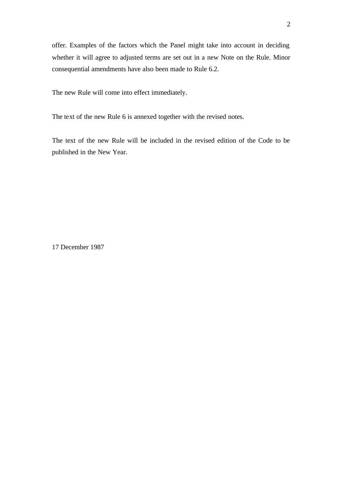offer. Examples of the factors which the Panel might take into account in deciding whether it will agree to adjusted terms are set out in a new Note on the Rule. Minor consequential amendments have also been made to Rule 6.2.

The new Rule will come into effect immediately.

The text of the new Rule 6 is annexed together with the revised notes.

The text of the new Rule will be included in the revised edition of the Code to be published in the New Year.

17 December 1987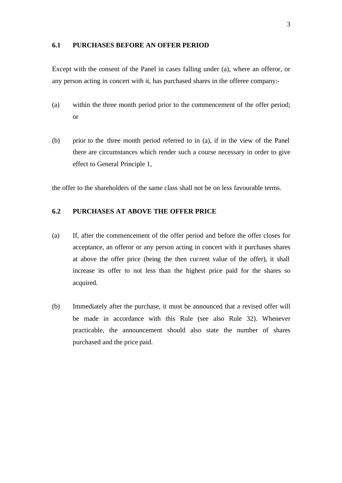### **6.1 PURCHASES BEFORE AN OFFER PERIOD**

Except with the consent of the Panel in cases falling under (a), where an offeror, or any person acting in concert with it, has purchased shares in the offeree company:-

- (a) within the three month period prior to the commencement of the offer period; or
- (b) prior to the three month period referred to in (a), if in the view of the Panel there are circumstances which render such a course necessary in order to give effect to General Principle 1,

the offer to the shareholders of the same class shall not be on less favourable terms.

# **6.2 PURCHASES AT ABOVE THE OFFER PRICE**

- (a) If, after the commencement of the offer period and before the offer closes for acceptance, an offeror or any person acting in concert with it purchases shares at above the offer price (being the then current value of the offer), it shall increase its offer to not less than the highest price paid for the shares so acquired.
- (b) Immediately after the purchase, it must be announced that a revised offer will be made in accordance with this Rule (see also Rule 32). Whenever practicable, the announcement should also state the number of shares purchased and the price paid.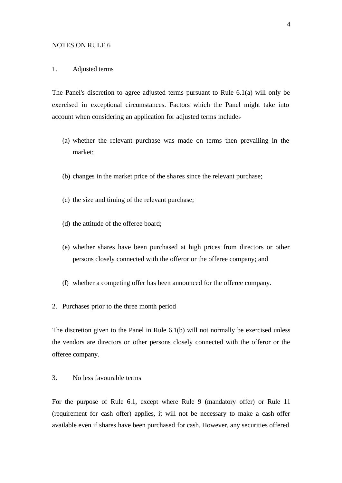#### NOTES ON RULE 6

### 1. Adjusted terms

The Panel's discretion to agree adjusted terms pursuant to Rule 6.1(a) will only be exercised in exceptional circumstances. Factors which the Panel might take into account when considering an application for adjusted terms include:-

- (a) whether the relevant purchase was made on terms then prevailing in the market;
- (b) changes in the market price of the sha res since the relevant purchase;
- (c) the size and timing of the relevant purchase;
- (d) the attitude of the offeree board;
- (e) whether shares have been purchased at high prices from directors or other persons closely connected with the offeror or the offeree company; and
- (f) whether a competing offer has been announced for the offeree company.
- 2. Purchases prior to the three month period

The discretion given to the Panel in Rule 6.1(b) will not normally be exercised unless the vendors are directors or other persons closely connected with the offeror or the offeree company.

## 3. No less favourable terms

For the purpose of Rule 6.1, except where Rule 9 (mandatory offer) or Rule 11 (requirement for cash offer) applies, it will not be necessary to make a cash offer available even if shares have been purchased for cash. However, any securities offered